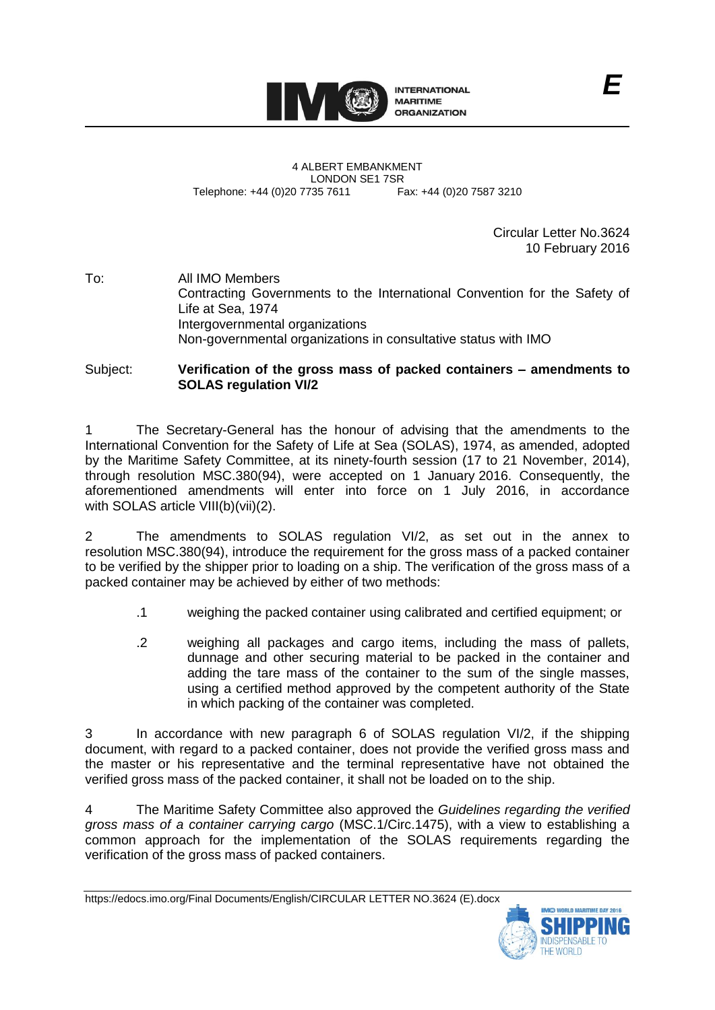

4 ALBERT EMBANKMENT LONDON SE1 7SR<br>735 7611 Fax: +44 (0)20 7587 3210 Telephone: +44 (0)20 7735 7611

Circular Letter No.3624 10 February 2016

To: All IMO Members Contracting Governments to the International Convention for the Safety of Life at Sea, 1974 Intergovernmental organizations Non-governmental organizations in consultative status with IMO

Subject: **Verification of the gross mass of packed containers – amendments to SOLAS regulation VI/2**

The Secretary-General has the honour of advising that the amendments to the International Convention for the Safety of Life at Sea (SOLAS), 1974, as amended, adopted by the Maritime Safety Committee, at its ninety-fourth session (17 to 21 November, 2014), through resolution MSC.380(94), were accepted on 1 January 2016. Consequently, the aforementioned amendments will enter into force on 1 July 2016, in accordance with SOLAS article VIII(b)(vii)(2).

2 The amendments to SOLAS regulation VI/2, as set out in the annex to resolution MSC.380(94), introduce the requirement for the gross mass of a packed container to be verified by the shipper prior to loading on a ship. The verification of the gross mass of a packed container may be achieved by either of two methods:

- .1 weighing the packed container using calibrated and certified equipment; or
- .2 weighing all packages and cargo items, including the mass of pallets, dunnage and other securing material to be packed in the container and adding the tare mass of the container to the sum of the single masses, using a certified method approved by the competent authority of the State in which packing of the container was completed.

3 In accordance with new paragraph 6 of SOLAS regulation VI/2, if the shipping document, with regard to a packed container, does not provide the verified gross mass and the master or his representative and the terminal representative have not obtained the verified gross mass of the packed container, it shall not be loaded on to the ship.

4 The Maritime Safety Committee also approved the *Guidelines regarding the verified gross mass of a container carrying cargo* (MSC.1/Circ.1475), with a view to establishing a common approach for the implementation of the SOLAS requirements regarding the verification of the gross mass of packed containers.

https://edocs.imo.org/Final Documents/English/CIRCULAR LETTER NO.3624 (E).docx